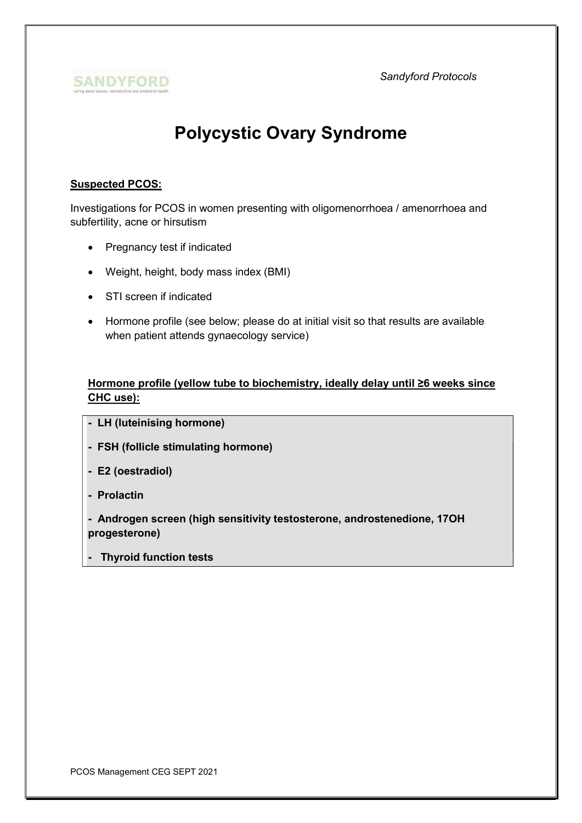Sandyford Protocols



# Polycystic Ovary Syndrome

## Suspected PCOS:

Investigations for PCOS in women presenting with oligomenorrhoea / amenorrhoea and subfertility, acne or hirsutism

- Pregnancy test if indicated
- Weight, height, body mass index (BMI)
- STI screen if indicated
- Hormone profile (see below; please do at initial visit so that results are available when patient attends gynaecology service)

# Hormone profile (yellow tube to biochemistry, ideally delay until ≥6 weeks since CHC use):

- LH (luteinising hormone)
- FSH (follicle stimulating hormone)
- E2 (oestradiol)
- Prolactin

- Androgen screen (high sensitivity testosterone, androstenedione, 17OH progesterone)

**Thyroid function tests**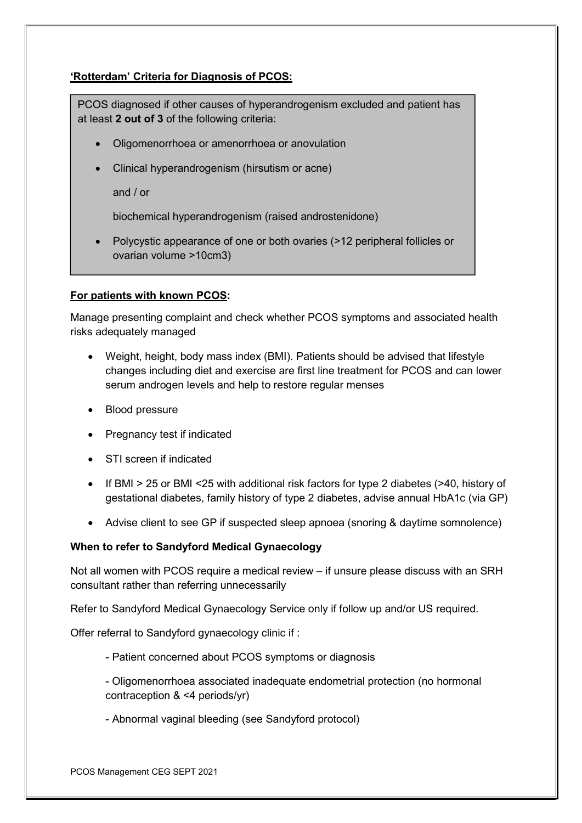# 'Rotterdam' Criteria for Diagnosis of PCOS:

PCOS diagnosed if other causes of hyperandrogenism excluded and patient has at least 2 out of 3 of the following criteria:

- Oligomenorrhoea or amenorrhoea or anovulation
- Clinical hyperandrogenism (hirsutism or acne)

and / or

biochemical hyperandrogenism (raised androstenidone)

 Polycystic appearance of one or both ovaries (>12 peripheral follicles or ovarian volume >10cm3)

#### For patients with known PCOS:

Manage presenting complaint and check whether PCOS symptoms and associated health risks adequately managed

- Weight, height, body mass index (BMI). Patients should be advised that lifestyle changes including diet and exercise are first line treatment for PCOS and can lower serum androgen levels and help to restore regular menses
- Blood pressure
- Pregnancy test if indicated
- STI screen if indicated
- If BMI > 25 or BMI <25 with additional risk factors for type 2 diabetes (>40, history of gestational diabetes, family history of type 2 diabetes, advise annual HbA1c (via GP)
- Advise client to see GP if suspected sleep apnoea (snoring & daytime somnolence)

#### When to refer to Sandyford Medical Gynaecology

Not all women with PCOS require a medical review – if unsure please discuss with an SRH consultant rather than referring unnecessarily

Refer to Sandyford Medical Gynaecology Service only if follow up and/or US required.

Offer referral to Sandyford gynaecology clinic if :

- Patient concerned about PCOS symptoms or diagnosis
- Oligomenorrhoea associated inadequate endometrial protection (no hormonal contraception & <4 periods/yr)
- Abnormal vaginal bleeding (see Sandyford protocol)